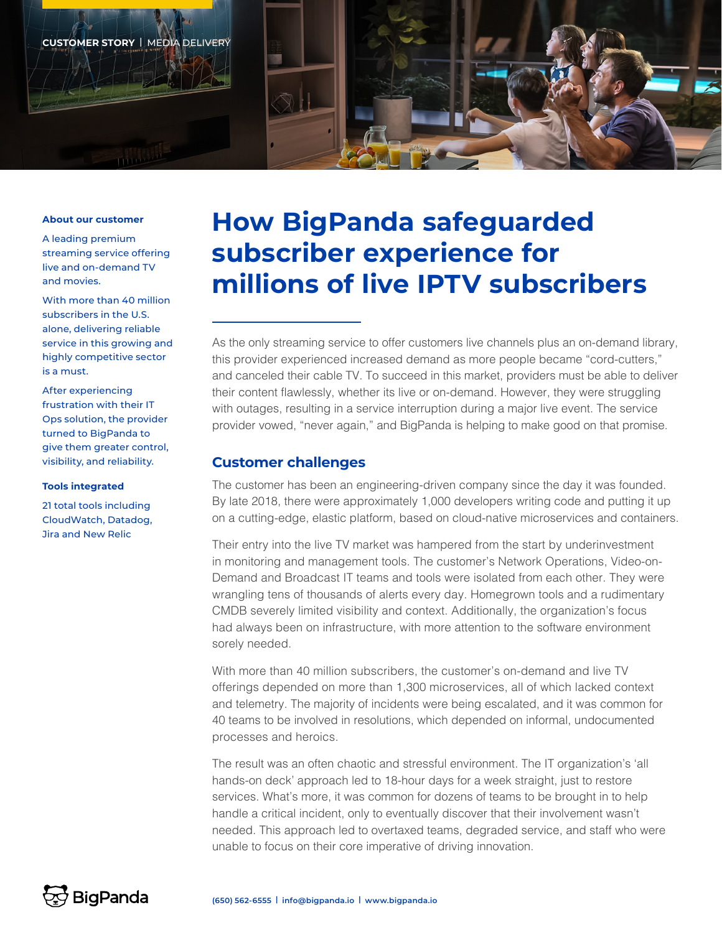

#### **About our customer**

A leading premium streaming service offering live and on-demand TV and movies.

With more than 40 million subscribers in the U.S. alone, delivering reliable service in this growing and highly competitive sector is a must.

After experiencing frustration with their IT Ops solution, the provider turned to BigPanda to give them greater control, visibility, and reliability.

### **Tools integrated**

21 total tools including CloudWatch, Datadog, Jira and New Relic

# **How BigPanda safeguarded subscriber experience for millions of live IPTV subscribers**

As the only streaming service to offer customers live channels plus an on-demand library, this provider experienced increased demand as more people became "cord-cutters," and canceled their cable TV. To succeed in this market, providers must be able to deliver their content flawlessly, whether its live or on-demand. However, they were struggling with outages, resulting in a service interruption during a major live event. The service provider vowed, "never again," and BigPanda is helping to make good on that promise.

### **Customer challenges**

The customer has been an engineering-driven company since the day it was founded. By late 2018, there were approximately 1,000 developers writing code and putting it up on a cutting-edge, elastic platform, based on cloud-native microservices and containers.

Their entry into the live TV market was hampered from the start by underinvestment in monitoring and management tools. The customer's Network Operations, Video-on-Demand and Broadcast IT teams and tools were isolated from each other. They were wrangling tens of thousands of alerts every day. Homegrown tools and a rudimentary CMDB severely limited visibility and context. Additionally, the organization's focus had always been on infrastructure, with more attention to the software environment sorely needed.

With more than 40 million subscribers, the customer's on-demand and live TV offerings depended on more than 1,300 microservices, all of which lacked context and telemetry. The majority of incidents were being escalated, and it was common for 40 teams to be involved in resolutions, which depended on informal, undocumented processes and heroics.

The result was an often chaotic and stressful environment. The IT organization's 'all hands-on deck' approach led to 18-hour days for a week straight, just to restore services. What's more, it was common for dozens of teams to be brought in to help handle a critical incident, only to eventually discover that their involvement wasn't needed. This approach led to overtaxed teams, degraded service, and staff who were unable to focus on their core imperative of driving innovation.

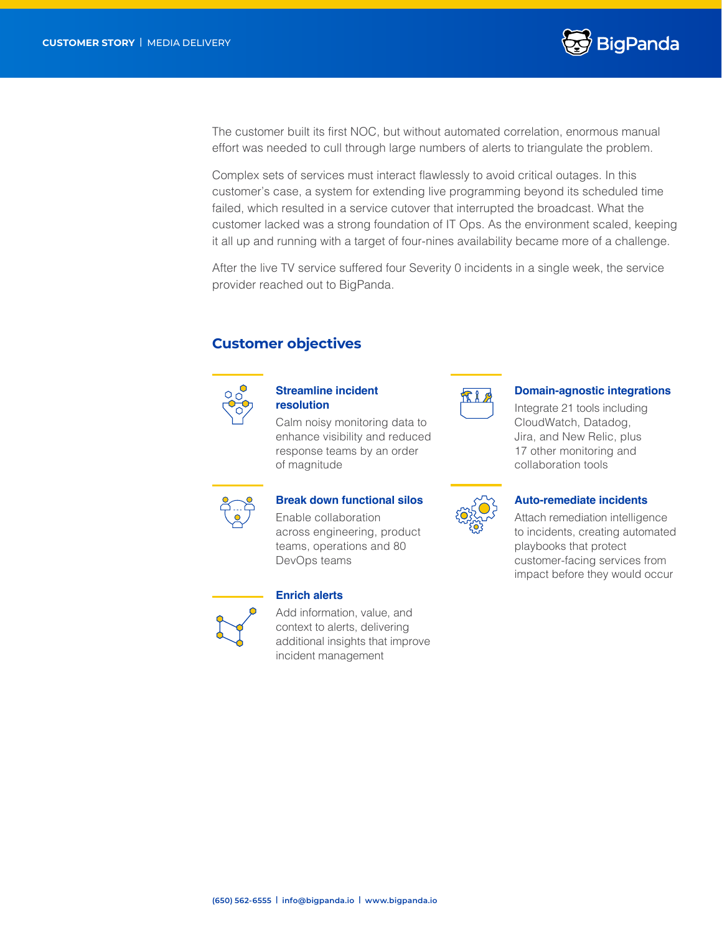

The customer built its first NOC, but without automated correlation, enormous manual effort was needed to cull through large numbers of alerts to triangulate the problem.

Complex sets of services must interact flawlessly to avoid critical outages. In this customer's case, a system for extending live programming beyond its scheduled time failed, which resulted in a service cutover that interrupted the broadcast. What the customer lacked was a strong foundation of IT Ops. As the environment scaled, keeping it all up and running with a target of four-nines availability became more of a challenge.

After the live TV service suffered four Severity 0 incidents in a single week, the service provider reached out to BigPanda.

# **Customer objectives**



### **Streamline incident resolution**

Calm noisy monitoring data to enhance visibility and reduced response teams by an order of magnitude



### **Domain-agnostic integrations**

Integrate 21 tools including CloudWatch, Datadog, Jira, and New Relic, plus 17 other monitoring and collaboration tools



# **Break down functional silos**

Enable collaboration across engineering, product teams, operations and 80 DevOps teams



### **Enrich alerts**

Add information, value, and context to alerts, delivering additional insights that improve incident management



### **Auto-remediate incidents**

Attach remediation intelligence to incidents, creating automated playbooks that protect customer-facing services from impact before they would occur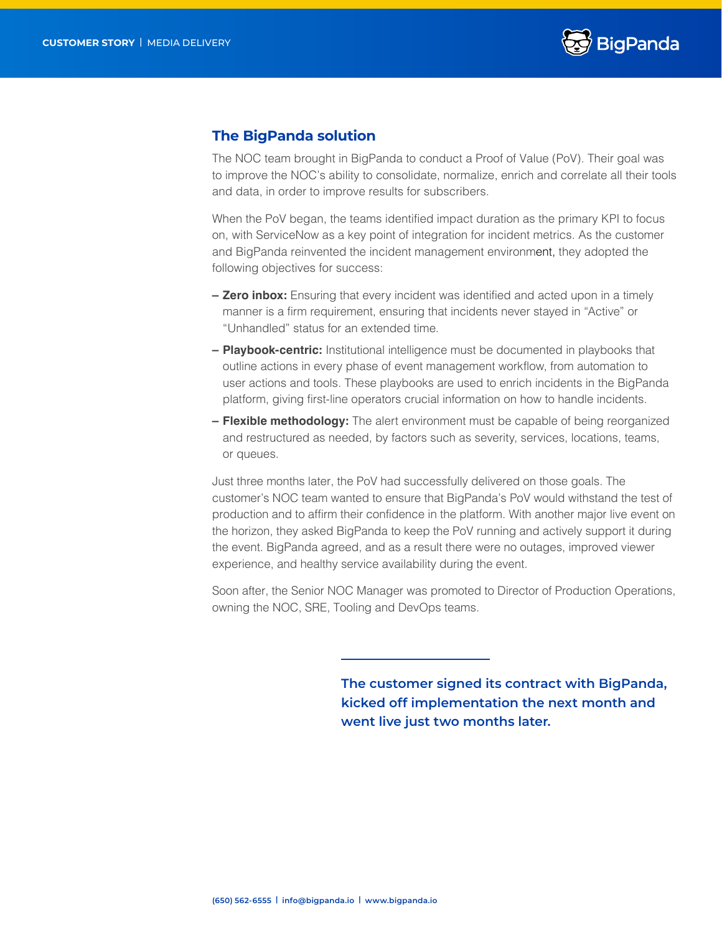

# **The BigPanda solution**

The NOC team brought in BigPanda to conduct a Proof of Value (PoV). Their goal was to improve the NOC's ability to consolidate, normalize, enrich and correlate all their tools and data, in order to improve results for subscribers.

When the PoV began, the teams identified impact duration as the primary KPI to focus on, with ServiceNow as a key point of integration for incident metrics. As the customer and BigPanda reinvented the incident management environment, they adopted the following objectives for success:

- **– Zero inbox:** Ensuring that every incident was identified and acted upon in a timely manner is a firm requirement, ensuring that incidents never stayed in "Active" or "Unhandled" status for an extended time.
- **– Playbook-centric:** Institutional intelligence must be documented in playbooks that outline actions in every phase of event management workflow, from automation to user actions and tools. These playbooks are used to enrich incidents in the BigPanda platform, giving first-line operators crucial information on how to handle incidents.
- **– Flexible methodology:** The alert environment must be capable of being reorganized and restructured as needed, by factors such as severity, services, locations, teams, or queues.

Just three months later, the PoV had successfully delivered on those goals. The customer's NOC team wanted to ensure that BigPanda's PoV would withstand the test of production and to affirm their confidence in the platform. With another major live event on the horizon, they asked BigPanda to keep the PoV running and actively support it during the event. BigPanda agreed, and as a result there were no outages, improved viewer experience, and healthy service availability during the event.

Soon after, the Senior NOC Manager was promoted to Director of Production Operations, owning the NOC, SRE, Tooling and DevOps teams.

> **The customer signed its contract with BigPanda, kicked off implementation the next month and went live just two months later.**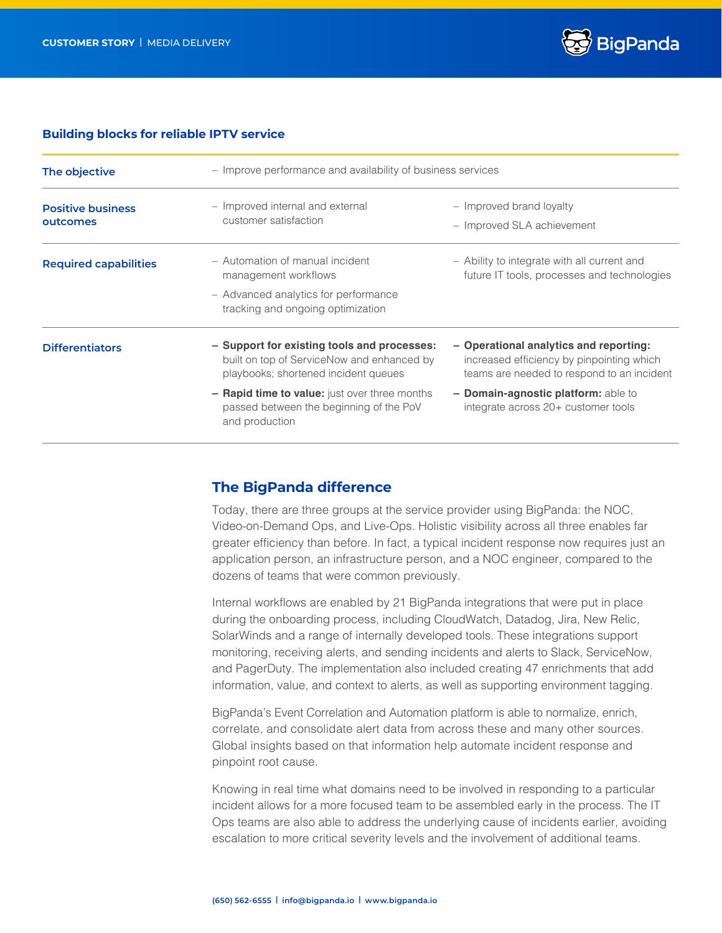

### **Building blocks for reliable IPTV service**

| The objective                        | - Improve performance and availability of business services                                                                       |                                                                                                                                   |
|--------------------------------------|-----------------------------------------------------------------------------------------------------------------------------------|-----------------------------------------------------------------------------------------------------------------------------------|
| <b>Positive business</b><br>outcomes | - Improved internal and external<br>customer satisfaction                                                                         | - Improved brand loyalty<br>- Improved SLA achievement                                                                            |
| <b>Required capabilities</b>         | - Automation of manual incident<br>management workflows                                                                           | - Ability to integrate with all current and<br>future IT tools, processes and technologies                                        |
|                                      | - Advanced analytics for performance<br>tracking and ongoing optimization                                                         |                                                                                                                                   |
| <b>Differentiators</b>               | - Support for existing tools and processes:<br>built on top of ServiceNow and enhanced by<br>playbooks; shortened incident queues | - Operational analytics and reporting:<br>increased efficiency by pinpointing which<br>teams are needed to respond to an incident |
|                                      | - Rapid time to value: just over three months<br>passed between the beginning of the PoV<br>and production                        | - Domain-agnostic platform: able to<br>integrate across 20+ customer tools                                                        |

## **The BigPanda difference**

Today, there are three groups at the service provider using BigPanda: the NOC, Video-on-Demand Ops, and Live-Ops. Holistic visibility across all three enables far greater efficiency than before. In fact, a typical incident response now requires just an application person, an infrastructure person, and a NOC engineer, compared to the dozens of teams that were common previously.

Internal workflows are enabled by 21 BigPanda integrations that were put in place during the onboarding process, including CloudWatch, Datadog, Jira, New Relic, SolarWinds and a range of internally developed tools. These integrations support monitoring, receiving alerts, and sending incidents and alerts to Slack, ServiceNow, and PagerDuty. The implementation also included creating 47 enrichments that add information, value, and context to alerts, as well as supporting environment tagging.

BigPanda's Event Correlation and Automation platform is able to normalize, enrich, correlate, and consolidate alert data from across these and many other sources. Global insights based on that information help automate incident response and pinpoint root cause.

Knowing in real time what domains need to be involved in responding to a particular incident allows for a more focused team to be assembled early in the process. The IT Ops teams are also able to address the underlying cause of incidents earlier, avoiding escalation to more critical severity levels and the involvement of additional teams.